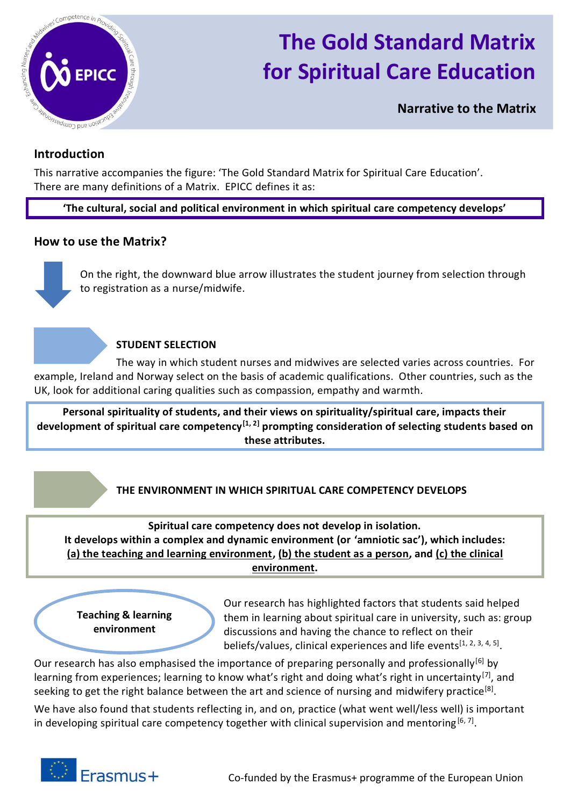

# **The Gold Standard Matrix for Spiritual Care Education**

**Narrative to the Matrix**

### **Introduction**

This narrative accompanies the figure: 'The Gold Standard Matrix for Spiritual Care Education'. There are many definitions of a Matrix. EPICC defines it as:

**'The cultural, social and political environment in which spiritual care competency develops'**

#### **How to use the Matrix?**

On the right, the downward blue arrow illustrates the student journey from selection through to registration as a nurse/midwife.

#### **STUDENT SELECTION**

The way in which student nurses and midwives are selected varies across countries. For example, Ireland and Norway select on the basis of academic qualifications. Other countries, such as the UK, look for additional caring qualities such as compassion, empathy and warmth.

**Personal spirituality of students, and their views on spirituality/spiritual care, impacts their development of spiritual care competency[1, 2] prompting consideration of selecting students based on these attributes.**

## **THE ENVIRONMENT IN WHICH SPIRITUAL CARE COMPETENCY DEVELOPS**

**Spiritual care competency does not develop in isolation. It develops within a complex and dynamic environment (or 'amniotic sac'), which includes: (a) the teaching and learning environment, (b) the student as a person, and (c) the clinical environment.**

**Teaching & learning environment**

Our research has highlighted factors that students said helped them in learning about spiritual care in university, such as: group discussions and having the chance to reflect on their beliefs/values, clinical experiences and life events<sup>[1, 2, 3, 4, 5]</sup>.

Our research has also emphasised the importance of preparing personally and professionally<sup>[6]</sup> by learning from experiences; learning to know what's right and doing what's right in uncertainty<sup>[7]</sup>, and seeking to get the right balance between the art and science of nursing and midwifery practice<sup>[8]</sup>.

We have also found that students reflecting in, and on, practice (what went well/less well) is important in developing spiritual care competency together with clinical supervision and mentoring [6,7].

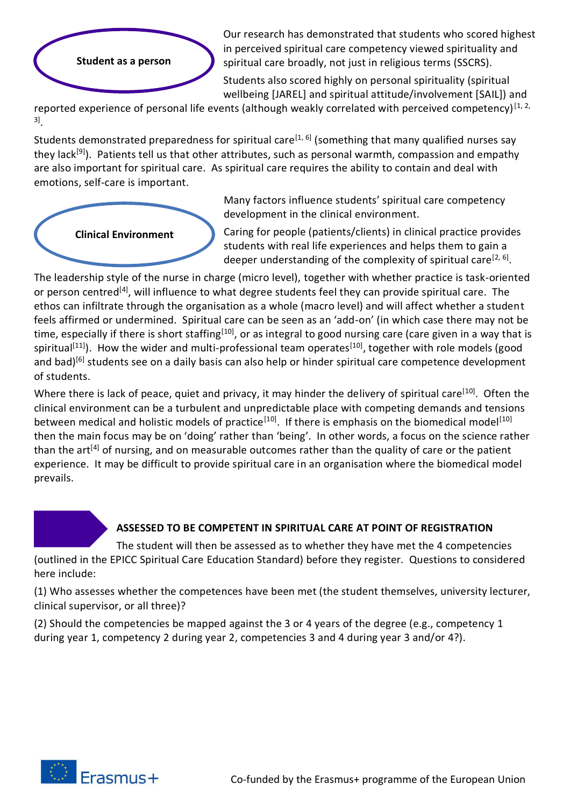

Our research has demonstrated that students who scored highest in perceived spiritual care competency viewed spirituality and spiritual care broadly, not just in religious terms (SSCRS).

Students also scored highly on personal spirituality (spiritual wellbeing [JAREL] and spiritual attitude/involvement [SAIL]) and

reported experience of personal life events (although weakly correlated with perceived competency) $[1, 2, 3]$ 3] .

Students demonstrated preparedness for spiritual care<sup>[1, 6]</sup> (something that many qualified nurses say they lack<sup>[9]</sup>). Patients tell us that other attributes, such as personal warmth, compassion and empathy are also important for spiritual care. As spiritual care requires the ability to contain and deal with emotions, self-care is important.



Many factors influence students' spiritual care competency development in the clinical environment.

Caring for people (patients/clients) in clinical practice provides students with real life experiences and helps them to gain a deeper understanding of the complexity of spiritual care<sup>[2, 6]</sup>.

The leadership style of the nurse in charge (micro level), together with whether practice is task-oriented or person centred<sup>[4]</sup>, will influence to what degree students feel they can provide spiritual care. The ethos can infiltrate through the organisation as a whole (macro level) and will affect whether a student feels affirmed or undermined. Spiritual care can be seen as an 'add-on' (in which case there may not be time, especially if there is short staffing<sup>[10]</sup>, or as integral to good nursing care (care given in a way that is spiritual<sup>[11]</sup>). How the wider and multi-professional team operates<sup>[10]</sup>, together with role models (good and bad)<sup>[6]</sup> students see on a daily basis can also help or hinder spiritual care competence development of students.

Where there is lack of peace, quiet and privacy, it may hinder the delivery of spiritual care<sup>[10]</sup>. Often the clinical environment can be a turbulent and unpredictable place with competing demands and tensions between medical and holistic models of practice<sup>[10]</sup>. If there is emphasis on the biomedical model<sup>[10]</sup> then the main focus may be on 'doing' rather than 'being'. In other words, a focus on the science rather than the art<sup>[4]</sup> of nursing, and on measurable outcomes rather than the quality of care or the patient experience. It may be difficult to provide spiritual care in an organisation where the biomedical model prevails.

# **ASSESSED TO BE COMPETENT IN SPIRITUAL CARE AT POINT OF REGISTRATION**

The student will then be assessed as to whether they have met the 4 competencies (outlined in the EPICC Spiritual Care Education Standard) before they register. Questions to considered here include:

(1) Who assesses whether the competences have been met (the student themselves, university lecturer, clinical supervisor, or all three)?

(2) Should the competencies be mapped against the 3 or 4 years of the degree (e.g., competency 1 during year 1, competency 2 during year 2, competencies 3 and 4 during year 3 and/or 4?).